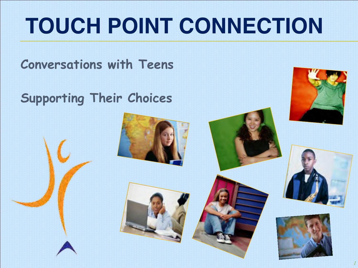## **TOUCH POINT CONNECTION**

**Conversations with Teens**

**Supporting Their Choices**





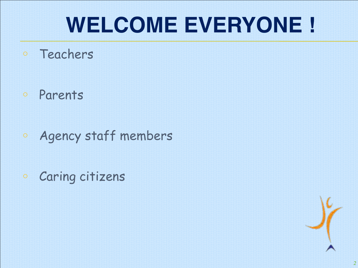### **WELCOME EVERYONE !**

- o Teachers
- o Parents
- o Agency staff members
- <sup>o</sup> Caring citizens

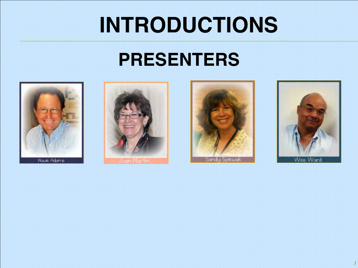### **INTRODUCTIONS**

#### **PRESENTERS**









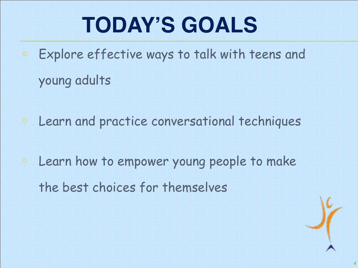## **TODAY'S GOALS**

- o Explore effective ways to talk with teens and young adults
- o Learn and practice conversational techniques
- <sup>o</sup> Learn how to empower young people to make the best choices for themselves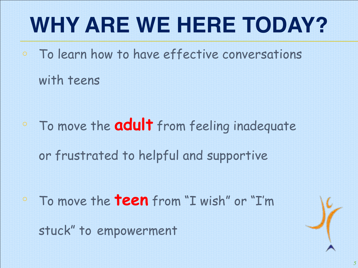## **WHY ARE WE HERE TODAY?**

o To learn how to have effective conversations with teens

<sup>o</sup> To move the **adult** from feeling inadequate or frustrated to helpful and supportive

<sup>o</sup> To move the **teen** from "I wish" or "I'm stuck" to empowerment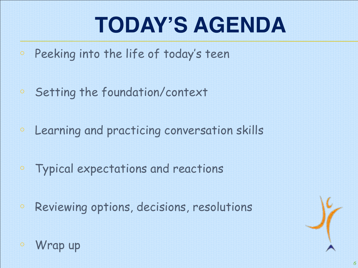## **TODAY'S AGENDA**

- <sup>o</sup> Peeking into the life of today's teen
- <sup>o</sup> Setting the foundation/context
- <sup>o</sup> Learning and practicing conversation skills
- o Typical expectations and reactions
- o Reviewing options, decisions, resolutions



<sup>o</sup> Wrap up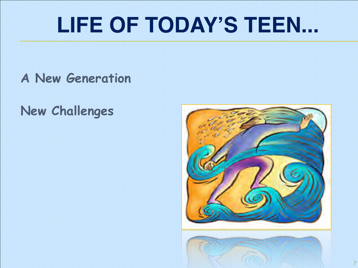### **LIFE OF TODAY'S TEEN...**

**A New Generation**

**New Challenges**

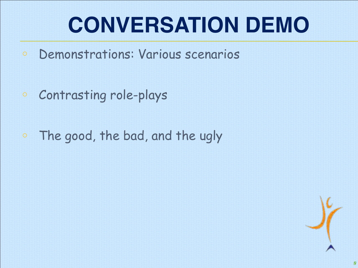## **CONVERSATION DEMO**

- o Demonstrations: Various scenarios
- o Contrasting role-plays
- o The good, the bad, and the ugly

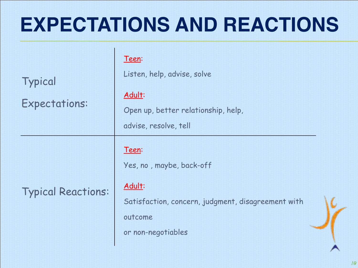#### **EXPECTATIONS AND REACTIONS**

| Typical<br><b>Expectations:</b> | Teen:<br>Listen, help, advise, solve<br>Adult:<br>Open up, better relationship, help,                                                                       |
|---------------------------------|-------------------------------------------------------------------------------------------------------------------------------------------------------------|
| <b>Typical Reactions:</b>       | advise, resolve, tell<br>Teen:<br>Yes, no, maybe, back-off<br>Adult:<br>Satisfaction, concern, judgment, disagreement with<br>outcome<br>or non-negotiables |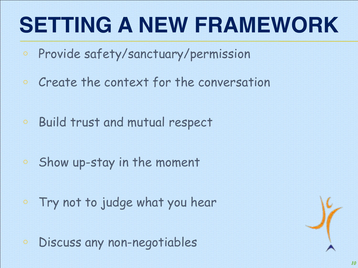## **SETTING A NEW FRAMEWORK**

- o Provide safety/sanctuary/permission
- o Create the context for the conversation
- o Build trust and mutual respect
- o Show up-stay in the moment
- o Try not to judge what you hear
- o Discuss any non-negotiables

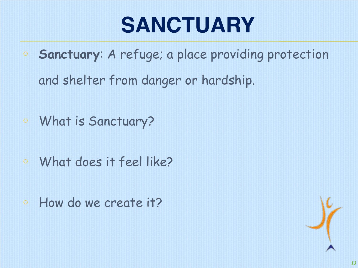## **SANCTUARY**

- o **Sanctuary**: A refuge; a place providing protection and shelter from danger or hardship.
- o What is Sanctuary?
- <sup>o</sup> What does it feel like?
- <sup>o</sup> How do we create it?

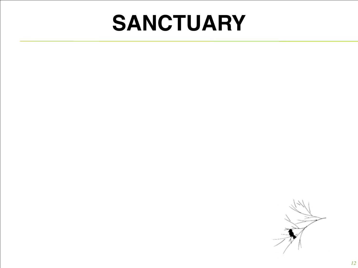#### **SANCTUARY**

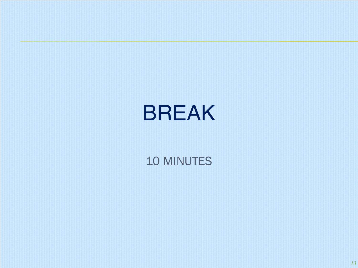#### BREAK

#### 10 MINUTES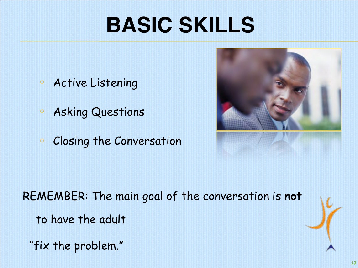## **BASIC SKILLS**

- <sup>o</sup> Active Listening
- <sup>o</sup> Asking Questions
- <sup>o</sup> Closing the Conversation



REMEMBER: The main goal of the conversation is **not** to have the adult

"fix the problem."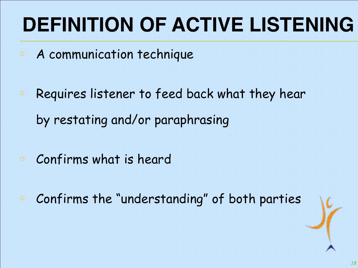#### **DEFINITION OF ACTIVE LISTENING**

- o A communication technique
- o Requires listener to feed back what they hear by restating and/or paraphrasing
- <sup>o</sup> Confirms what is heard
- <sup>o</sup> Confirms the "understanding" of both parties

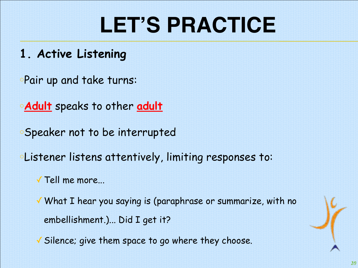#### **1. Active Listening**

<sup>o</sup>Pair up and take turns:

**Adult** speaks to other adult

<sup>o</sup>Speaker not to be interrupted

<sup>o</sup>Listener listens attentively, limiting responses to:

✓Tell me more...

✓What I hear you saying is (paraphrase or summarize, with no embellishment.)... Did I get it?

✓Silence; give them space to go where they choose.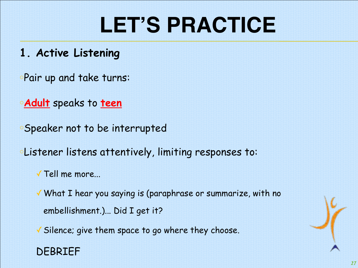- **1. Active Listening**
- <sup>o</sup>Pair up and take turns:
- <sup>o</sup>**Adult** speaks to **teen**
- <sup>o</sup>Speaker not to be interrupted
- <sup>o</sup>Listener listens attentively, limiting responses to:
	- ✓Tell me more...
	- ✓What I hear you saying is (paraphrase or summarize, with no embellishment.)... Did I get it?
	- ✓Silence; give them space to go where they choose.

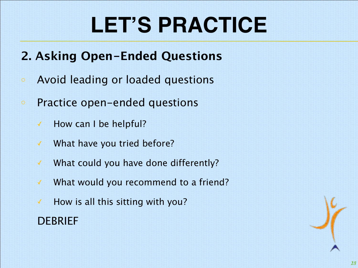#### **2. Asking Open-Ended Questions**

- <sup>o</sup> Avoid leading or loaded questions
- <sup>o</sup> Practice open-ended questions
	- ✓ How can I be helpful?
	- ✓ What have you tried before?
	- ✓ What could you have done differently?
	- ✓ What would you recommend to a friend?
	- $\checkmark$  How is all this sitting with you?

DEBRIEF

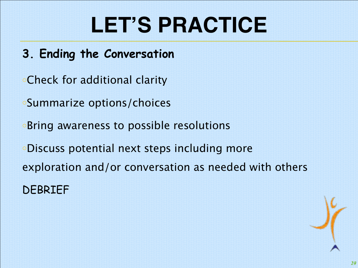- **3. Ending the Conversation**
- <sup>o</sup>Check for additional clarity
- <sup>o</sup>Summarize options/choices
- <sup>o</sup>Bring awareness to possible resolutions
- <sup>o</sup>Discuss potential next steps including more exploration and/or conversation as needed with others DEBRIEF

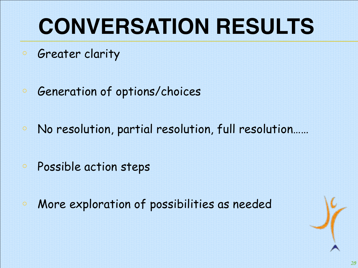# **CONVERSATION RESULTS**

- <sup>o</sup> Greater clarity
- <sup>o</sup> Generation of options/choices
- <sup>o</sup> No resolution, partial resolution, full resolution……
- o Possible action steps
- o More exploration of possibilities as needed

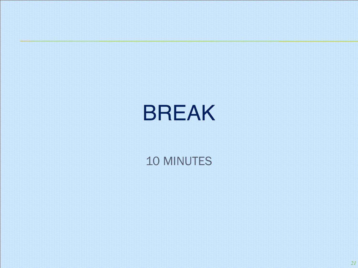#### BREAK

#### 10 MINUTES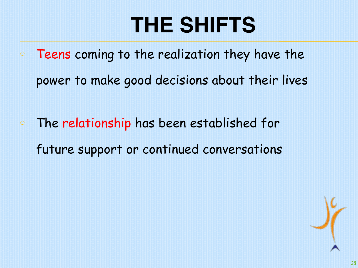## **THE SHIFTS**

- o Teens coming to the realization they have the power to make good decisions about their lives
- o The relationship has been established for future support or continued conversations

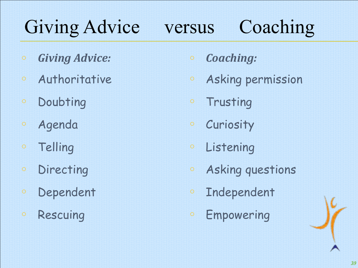#### Giving Advice versus Coaching

- <sup>o</sup> *Giving Advice:*
- <sup>o</sup> Authoritative
- o Doubting
- o Agenda
- <sup>o</sup> Telling
- <sup>o</sup> Directing
- <sup>o</sup> Dependent
- o Rescuing
- <sup>o</sup> *Coaching:*
- <sup>o</sup> Asking permission
- o Trusting
- o Curiosity
- <sup>o</sup> Listening
- <sup>o</sup> Asking questions
- <sup>o</sup> Independent
- o Empowering

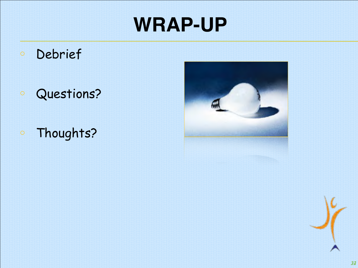#### **WRAP-UP**

- o Debrief
- o Questions?
- o Thoughts?



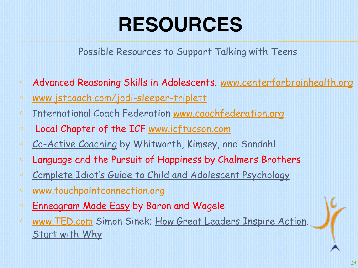#### **RESOURCES**

#### Possible Resources to Support Talking with Teens

- <sup>o</sup> Advanced Reasoning Skills in Adolescents; [www.centerforbrainhealth.org](http://www.centerforbrainhealth.org/)
- <sup>o</sup> [www.jstcoach.com/jodi-sleeper-triplett](http://www.jstcoach.com/jodi-sleeper-triplett)
- <sup>o</sup> International Coach Federation [www.coachfederation.org](http://www.coachfederation.org/)
- <sup>o</sup> Local Chapter of the ICF [www.icftucson.com](http://www.icftucson.com/)
- o Co-Active Coaching by Whitworth, Kimsey, and Sandahl
- <sup>o</sup> Language and the Pursuit of Happiness by Chalmers Brothers
- <sup>o</sup> Complete Idiot's Guide to Child and Adolescent Psychology
- <sup>o</sup> [www.touchpointconnection.org](http://www.touchpointconnection.org/)
- **Enneagram Made Easy by Baron and Wagele**
- o [www.TED.com](http://www.ted.com/) Simon Sinek; How Great Leaders Inspire Action. Start with Why